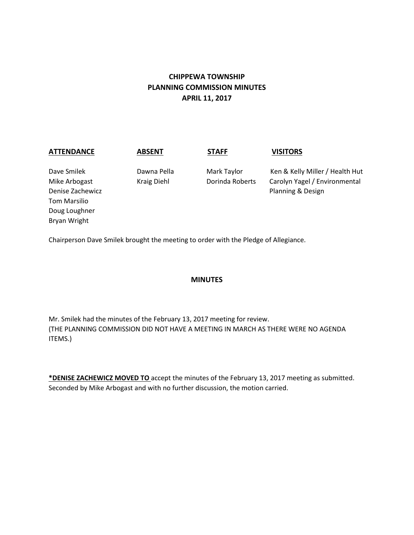# **CHIPPEWA TOWNSHIP PLANNING COMMISSION MINUTES APRIL 11, 2017**

| <b>ATTENDANCE</b>                                                                                 | <b>ABSENT</b>                     | <b>STAFF</b>                   | <b>VISITORS</b>                                                                       |
|---------------------------------------------------------------------------------------------------|-----------------------------------|--------------------------------|---------------------------------------------------------------------------------------|
| Dave Smilek<br>Mike Arbogast<br>Denise Zachewicz<br>Tom Marsilio<br>Doug Loughner<br>Bryan Wright | Dawna Pella<br><b>Kraig Diehl</b> | Mark Taylor<br>Dorinda Roberts | Ken & Kelly Miller / Health Hut<br>Carolyn Yagel / Environmental<br>Planning & Design |

Chairperson Dave Smilek brought the meeting to order with the Pledge of Allegiance.

### **MINUTES**

Mr. Smilek had the minutes of the February 13, 2017 meeting for review. (THE PLANNING COMMISSION DID NOT HAVE A MEETING IN MARCH AS THERE WERE NO AGENDA ITEMS.)

**\*DENISE ZACHEWICZ MOVED TO** accept the minutes of the February 13, 2017 meeting as submitted. Seconded by Mike Arbogast and with no further discussion, the motion carried.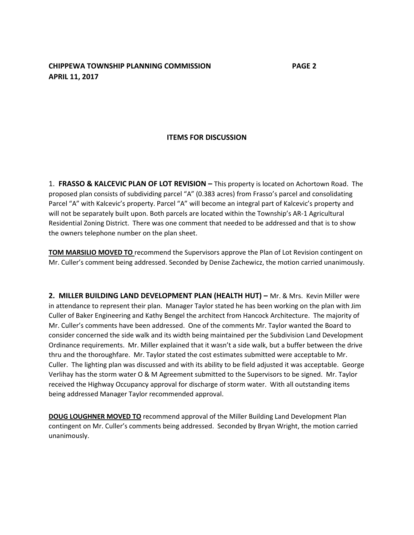### **CHIPPEWA TOWNSHIP PLANNING COMMISSION PAGE 2 APRIL 11, 2017**

### **ITEMS FOR DISCUSSION**

1. **FRASSO & KALCEVIC PLAN OF LOT REVISION –** This property is located on Achortown Road. The proposed plan consists of subdividing parcel "A" (0.383 acres) from Frasso's parcel and consolidating Parcel "A" with Kalcevic's property. Parcel "A" will become an integral part of Kalcevic's property and will not be separately built upon. Both parcels are located within the Township's AR-1 Agricultural Residential Zoning District. There was one comment that needed to be addressed and that is to show the owners telephone number on the plan sheet.

**TOM MARSILIO MOVED TO** recommend the Supervisors approve the Plan of Lot Revision contingent on Mr. Culler's comment being addressed. Seconded by Denise Zachewicz, the motion carried unanimously.

**2. MILLER BUILDING LAND DEVELOPMENT PLAN (HEALTH HUT) – Mr. & Mrs. Kevin Miller were** in attendance to represent their plan. Manager Taylor stated he has been working on the plan with Jim Culler of Baker Engineering and Kathy Bengel the architect from Hancock Architecture. The majority of Mr. Culler's comments have been addressed. One of the comments Mr. Taylor wanted the Board to consider concerned the side walk and its width being maintained per the Subdivision Land Development Ordinance requirements. Mr. Miller explained that it wasn't a side walk, but a buffer between the drive thru and the thoroughfare. Mr. Taylor stated the cost estimates submitted were acceptable to Mr. Culler. The lighting plan was discussed and with its ability to be field adjusted it was acceptable. George Verlihay has the storm water O & M Agreement submitted to the Supervisors to be signed. Mr. Taylor received the Highway Occupancy approval for discharge of storm water. With all outstanding items being addressed Manager Taylor recommended approval.

**DOUG LOUGHNER MOVED TO** recommend approval of the Miller Building Land Development Plan contingent on Mr. Culler's comments being addressed. Seconded by Bryan Wright, the motion carried unanimously.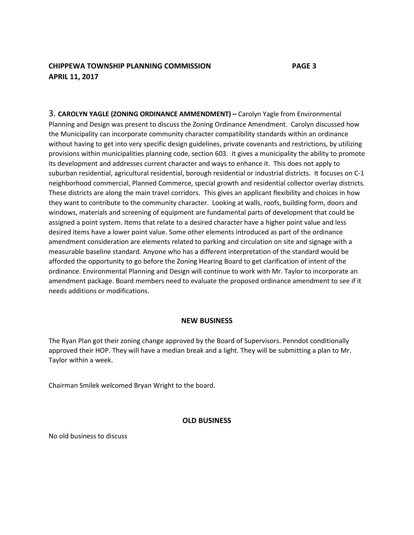## **CHIPPEWA TOWNSHIP PLANNING COMMISSION PAGE 3 APRIL 11, 2017**

3. **CAROLYN YAGLE (ZONING ORDINANCE AMMENDMENT) –** Carolyn Yagle from Environmental Planning and Design was present to discuss the Zoning Ordinance Amendment. Carolyn discussed how the Municipality can incorporate community character compatibility standards within an ordinance without having to get into very specific design guidelines, private covenants and restrictions, by utilizing provisions within municipalities planning code, section 603. It gives a municipality the ability to promote its development and addresses current character and ways to enhance it. This does not apply to suburban residential, agricultural residential, borough residential or industrial districts. It focuses on C-1 neighborhood commercial, Planned Commerce, special growth and residential collector overlay districts. These districts are along the main travel corridors. This gives an applicant flexibility and choices in how they want to contribute to the community character. Looking at walls, roofs, building form, doors and windows, materials and screening of equipment are fundamental parts of development that could be assigned a point system. Items that relate to a desired character have a higher point value and less desired items have a lower point value. Some other elements introduced as part of the ordinance amendment consideration are elements related to parking and circulation on site and signage with a measurable baseline standard. Anyone who has a different interpretation of the standard would be afforded the opportunity to go before the Zoning Hearing Board to get clarification of intent of the ordinance. Environmental Planning and Design will continue to work with Mr. Taylor to incorporate an amendment package. Board members need to evaluate the proposed ordinance amendment to see if it needs additions or modifications.

### **NEW BUSINESS**

The Ryan Plan got their zoning change approved by the Board of Supervisors. Penndot conditionally approved their HOP. They will have a median break and a light. They will be submitting a plan to Mr. Taylor within a week.

Chairman Smilek welcomed Bryan Wright to the board.

### **OLD BUSINESS**

No old business to discuss